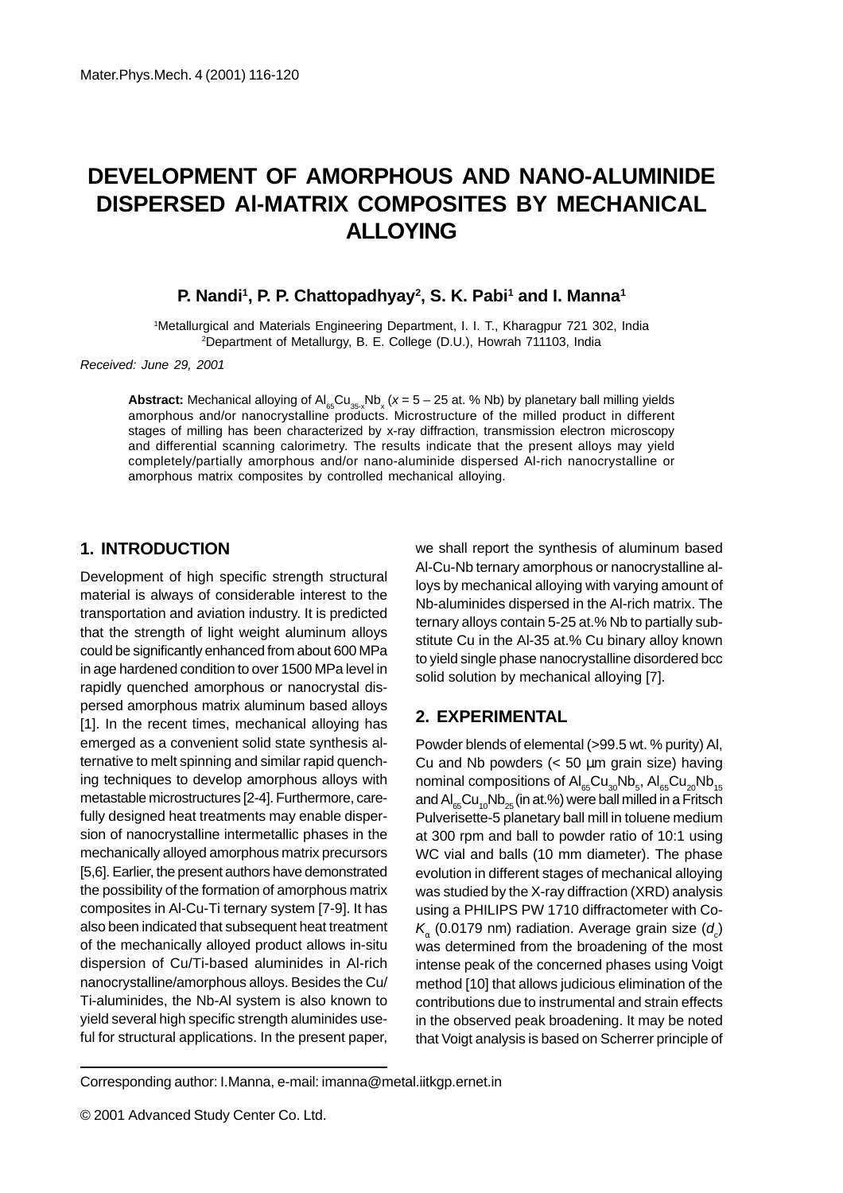# **DEVELOPMENT OF AMORPHOUS AND NANO-ALUMINIDE DISPERSED Al-MATRIX COMPOSITES BY MECHANICAL ALLOYING**

#### P. Nandi<sup>1</sup>, P. P. Chattopadhyay<sup>2</sup>, S. K. Pabi<sup>1</sup> and I. Manna<sup>1</sup>

1 Metallurgical and Materials Engineering Department, I. I. T., Kharagpur 721 302, India 2 Department of Metallurgy, B. E. College (D.U.), Howrah 711103, India

Received: June 29, 2001

**Abstract:** Mechanical alloying of  $Al_{_{65}}Cu_{_{35-x}}Nb_{_x}(x = 5 - 25$  at. % Nb) by planetary ball milling yields amorphous and/or nanocrystalline products. Microstructure of the milled product in different stages of milling has been characterized by x-ray diffraction, transmission electron microscopy and differential scanning calorimetry. The results indicate that the present alloys may yield completely/partially amorphous and/or nano-aluminide dispersed Al-rich nanocrystalline or amorphous matrix composites by controlled mechanical alloying.

#### **1. INTRODUCTION**

Development of high specific strength structural material is always of considerable interest to the transportation and aviation industry. It is predicted that the strength of light weight aluminum alloys could be significantly enhanced from about 600 MPa in age hardened condition to over 1500 MPa level in rapidly quenched amorphous or nanocrystal dispersed amorphous matrix aluminum based alloys [1]. In the recent times, mechanical alloying has emerged as a convenient solid state synthesis alternative to melt spinning and similar rapid quenching techniques to develop amorphous alloys with metastable microstructures [2-4]. Furthermore, carefully designed heat treatments may enable dispersion of nanocrystalline intermetallic phases in the mechanically alloyed amorphous matrix precursors [5,6]. Earlier, the present authors have demonstrated the possibility of the formation of amorphous matrix composites in Al-Cu-Ti ternary system [7-9]. It has also been indicated that subsequent heat treatment of the mechanically alloyed product allows in-situ dispersion of Cu/Ti-based aluminides in Al-rich nanocrystalline/amorphous alloys. Besides the Cu/ Ti-aluminides, the Nb-Al system is also known to yield several high specific strength aluminides useful for structural applications. In the present paper, we shall report the synthesis of aluminum based Al-Cu-Nb ternary amorphous or nanocrystalline alloys by mechanical alloying with varying amount of Nb-aluminides dispersed in the Al-rich matrix. The ternary alloys contain 5-25 at.% Nb to partially substitute Cu in the Al-35 at.% Cu binary alloy known to yield single phase nanocrystalline disordered bcc solid solution by mechanical alloying [7].

#### **2. EXPERIMENTAL**

Powder blends of elemental (>99.5 wt. % purity) Al, Cu and Nb powders  $\left($  < 50  $\mu$ m grain size) having nominal compositions of  $\mathsf{Al}_{\mathsf{65}}\mathsf{Cu}_{\mathsf{30}}\mathsf{Nb}_{\mathsf{5}}, \mathsf{Al}_{\mathsf{65}}\mathsf{Cu}_{\mathsf{20}}\mathsf{Nb}_{\mathsf{15}}$ and  $AI_{\alpha5}Cu_{10}Nb_{25}$  (in at.%) were ball milled in a Fritsch Pulverisette-5 planetary ball mill in toluene medium at 300 rpm and ball to powder ratio of 10:1 using WC vial and balls (10 mm diameter). The phase evolution in different stages of mechanical alloying was studied by the X-ray diffraction (XRD) analysis using a PHILIPS PW 1710 diffractometer with Co- $\mathcal{K}_{\alpha}$  (0.0179 nm) radiation. Average grain size (d<sub>c</sub>) was determined from the broadening of the most intense peak of the concerned phases using Voigt method [10] that allows judicious elimination of the contributions due to instrumental and strain effects in the observed peak broadening. It may be noted that Voigt analysis is based on Scherrer principle of

Corresponding author: I.Manna, e-mail: imanna@metal.iitkgp.ernet.in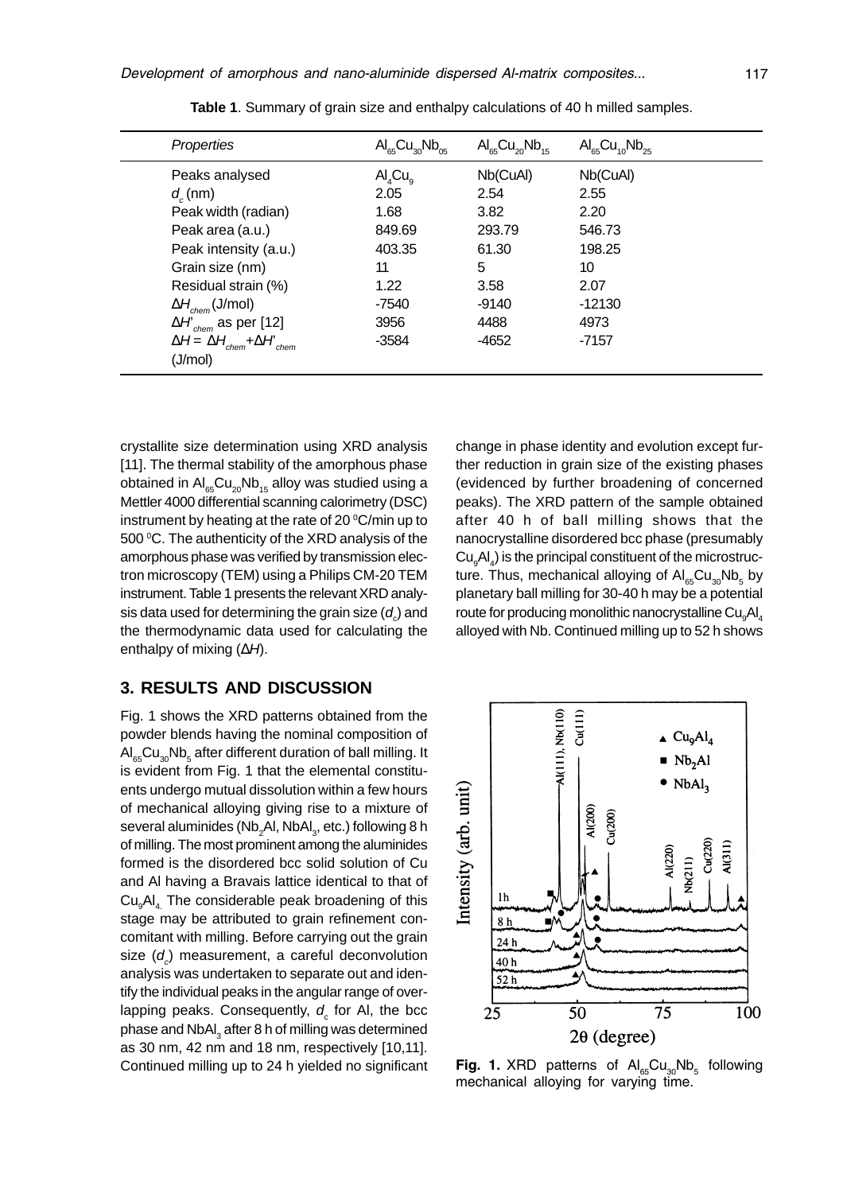| Properties                                     | $\mathsf{Al}_{\mathsf{es}}\mathsf{Cu}_{\mathsf{30}}\mathsf{Nb}_{\mathsf{05}}$ | $\text{Al}_{65}\text{Cu}_{20}\text{Nb}_{15}$ | $\text{Al}_{65}\text{Cu}_{10}\text{Nb}_{25}$ |
|------------------------------------------------|-------------------------------------------------------------------------------|----------------------------------------------|----------------------------------------------|
| Peaks analysed                                 | $\mathsf{Al}_{4}\mathsf{Cu}_{\alpha}$                                         | Nb(CuAl)                                     | Nb(CuAl)                                     |
| $d_{\rm c}$ (nm)                               | 2.05                                                                          | 2.54                                         | 2.55                                         |
| Peak width (radian)                            | 1.68                                                                          | 3.82                                         | 2.20                                         |
| Peak area (a.u.)                               | 849.69                                                                        | 293.79                                       | 546.73                                       |
| Peak intensity (a.u.)                          | 403.35                                                                        | 61.30                                        | 198.25                                       |
| Grain size (nm)                                | 11                                                                            | 5                                            | 10                                           |
| Residual strain (%)                            | 1.22                                                                          | 3.58                                         | 2.07                                         |
| $\Delta H_{\text{chem}}(\text{J/mol})$         | -7540                                                                         | $-9140$                                      | $-12130$                                     |
| $\Delta H_{\text{chem}}$ as per [12]           | 3956                                                                          | 4488                                         | 4973                                         |
| $\Delta H = \Delta H_{chem} + \Delta H_{chem}$ | $-3584$                                                                       | -4652                                        | $-7157$                                      |
| (J/mol)                                        |                                                                               |                                              |                                              |

**Table 1**. Summary of grain size and enthalpy calculations of 40 h milled samples.

crystallite size determination using XRD analysis [11]. The thermal stability of the amorphous phase obtained in  $Al_{65}Cu_{20}Nb_{15}$  alloy was studied using a Mettler 4000 differential scanning calorimetry (DSC) instrument by heating at the rate of 20 $\mathrm{^oC/m}$ in up to 500 °C. The authenticity of the XRD analysis of the amorphous phase was verified by transmission electron microscopy (TEM) using a Philips CM-20 TEM instrument. Table 1 presents the relevant XRD analysis data used for determining the grain size  $(d_{\scriptscriptstyle \circ}^{})$  and the thermodynamic data used for calculating the enthalpy of mixing  $(\Delta H)$ .

#### **3. RESULTS AND DISCUSSION**

Fig. 1 shows the XRD patterns obtained from the powder blends having the nominal composition of  $\mathsf{Al}_{\mathsf{65}}\mathsf{Cu}_{\mathsf{30}}\mathsf{Nb}_{\mathsf{5}}$  after different duration of ball milling. It is evident from Fig. 1 that the elemental constituents undergo mutual dissolution within a few hours of mechanical alloying giving rise to a mixture of several aluminides (Nb $_2$ Al, NbAl $_3$ , etc.) following 8 h of milling. The most prominent among the aluminides formed is the disordered bcc solid solution of Cu and Al having a Bravais lattice identical to that of Cu<sub>9</sub>AI<sub>4</sub> The considerable peak broadening of this stage may be attributed to grain refinement concomitant with milling. Before carrying out the grain size  $(d_c)$  measurement, a careful deconvolution analysis was undertaken to separate out and identify the individual peaks in the angular range of overlapping peaks. Consequently,  $d_{\rm c}$  for Al, the bcc phase and NbAl $_3$  after 8 h of milling was determined as 30 nm, 42 nm and 18 nm, respectively [10,11]. Continued milling up to 24 h yielded no significant change in phase identity and evolution except further reduction in grain size of the existing phases (evidenced by further broadening of concerned peaks). The XRD pattern of the sample obtained after 40 h of ball milling shows that the nanocrystalline disordered bcc phase (presumably  ${\sf Cu}_{\sf g}{\sf Al}_4$ ) is the principal constituent of the microstructure. Thus, mechanical alloying of  $\mathsf{Al}_{\mathsf{65}}\mathsf{Cu}_{\mathsf{30}}\mathsf{Nb}_{\mathsf{5}}$  by planetary ball milling for 30-40 h may be a potential route for producing monolithic nanocrystalline Cu $_{\mathrm{g}}$ Al $_{\mathrm{4}}$ alloyed with Nb. Continued milling up to 52 h shows



**Fig. 1.** XRD patterns of  $Al_{65}Cu_{30}Nb_{5}$  following mechanical alloying for varying time.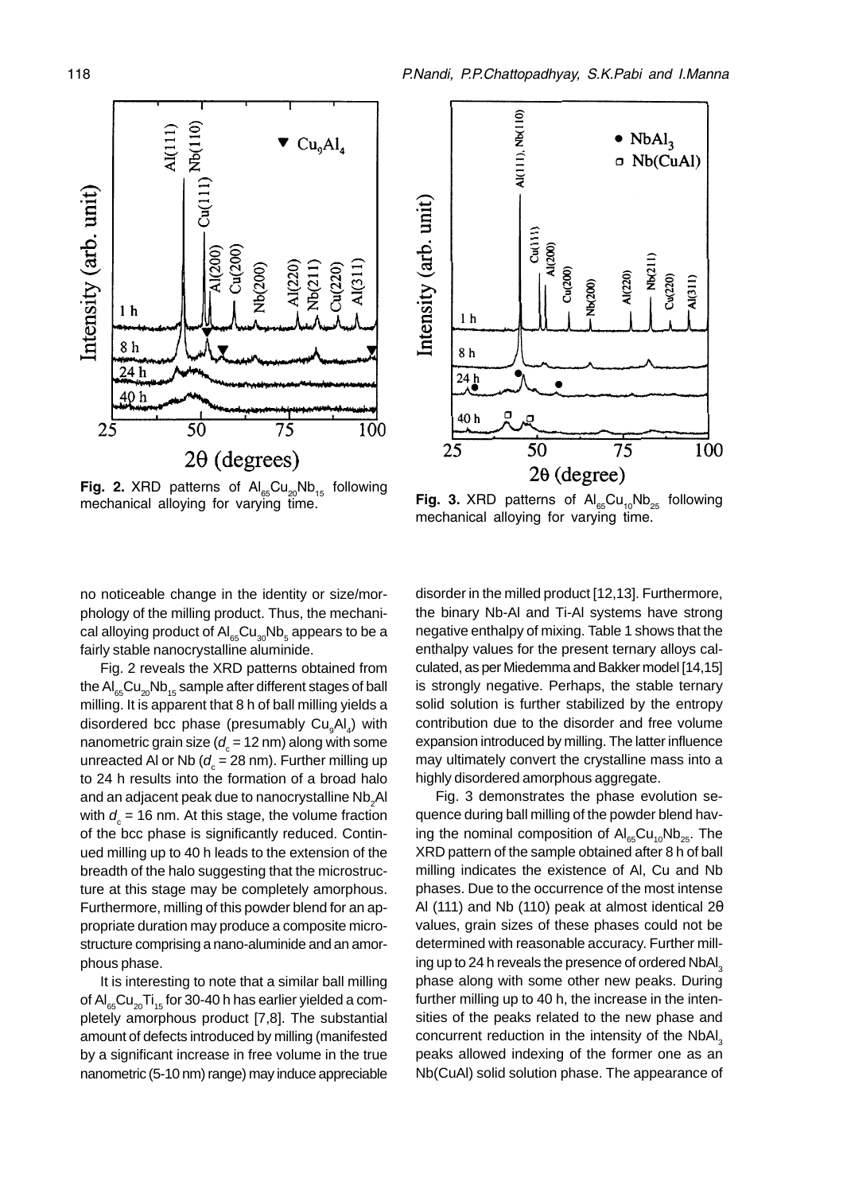

**Fig. 2.** XRD patterns of  $Al_{65}Cu_{20}Nb_{15}$  following mechanical alloying for varying time.



**Fig. 3.** XRD patterns of  $\text{Al}_{65}\text{Cu}_{10}\text{Nb}_{25}$  following mechanical alloying for varying time.

no noticeable change in the identity or size/morphology of the milling product. Thus, the mechanical alloying product of  $\mathsf{Al}_{\mathsf{65}}\mathsf{Cu}_{\mathsf{30}}\mathsf{Nb}_{\mathsf{5}}$  appears to be a fairly stable nanocrystalline aluminide.

Fig. 2 reveals the XRD patterns obtained from the  $AI_{65}Cu_{20}Nb_{15}$  sample after different stages of ball milling. It is apparent that 8 h of ball milling yields a disordered bcc phase (presumably Cu<sub>9</sub>Al<sub>4</sub>) with nanometric grain size ( $d_{\mathrm{c}}^{\phantom{\dag}}$  = 12 nm) along with some unreacted Al or Nb ( $d_{\textrm{\tiny c}}$  = 28 nm). Further milling up to 24 h results into the formation of a broad halo and an adjacent peak due to nanocrystalline  $\mathsf{Nb}_2\mathsf{Al}$ with  $d_{\text{c}}^{\phantom{\dag}}$  = 16 nm. At this stage, the volume fraction of the bcc phase is significantly reduced. Continued milling up to 40 h leads to the extension of the breadth of the halo suggesting that the microstructure at this stage may be completely amorphous. Furthermore, milling of this powder blend for an appropriate duration may produce a composite microstructure comprising a nano-aluminide and an amorphous phase.

It is interesting to note that a similar ball milling of  $Al_{c}Cl_{20}Ti_{15}$  for 30-40 h has earlier yielded a completely amorphous product [7,8]. The substantial amount of defects introduced by milling (manifested by a significant increase in free volume in the true nanometric (5-10 nm) range) may induce appreciable

disorder in the milled product [12,13]. Furthermore, the binary Nb-Al and Ti-Al systems have strong negative enthalpy of mixing. Table 1 shows that the enthalpy values for the present ternary alloys calculated, as per Miedemma and Bakker model [14,15] is strongly negative. Perhaps, the stable ternary solid solution is further stabilized by the entropy contribution due to the disorder and free volume expansion introduced by milling. The latter influence may ultimately convert the crystalline mass into a highly disordered amorphous aggregate.

Fig. 3 demonstrates the phase evolution sequence during ball milling of the powder blend having the nominal composition of  $Al_{65}Cu_{10}Nb_{25}$ . The XRD pattern of the sample obtained after 8 h of ball milling indicates the existence of Al, Cu and Nb phases. Due to the occurrence of the most intense Al (111) and Nb (110) peak at almost identical 2θ values, grain sizes of these phases could not be determined with reasonable accuracy. Further milling up to 24 h reveals the presence of ordered NbAl<sub>3</sub> phase along with some other new peaks. During further milling up to 40 h, the increase in the intensities of the peaks related to the new phase and concurrent reduction in the intensity of the NbAl<sub>3</sub> peaks allowed indexing of the former one as an Nb(CuAl) solid solution phase. The appearance of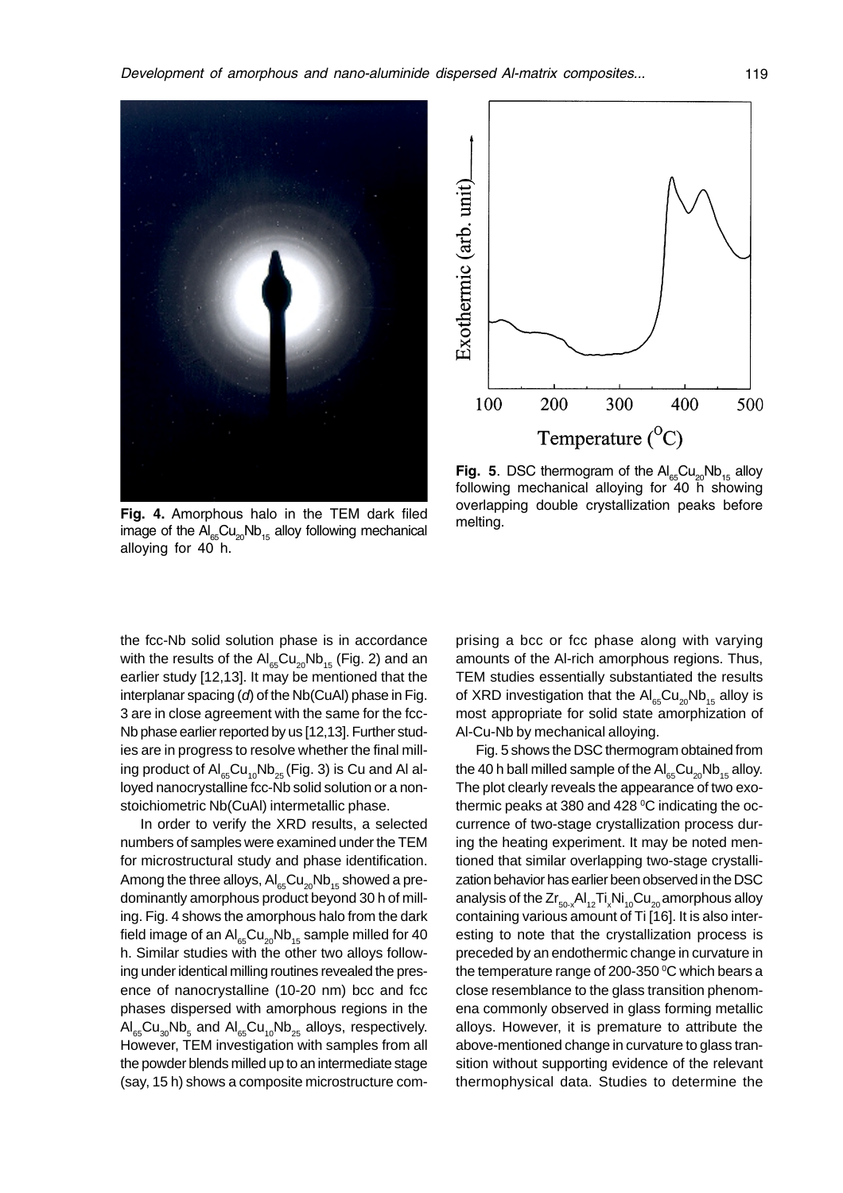



**Fig. 5**. DSC thermogram of the  $\text{Al}_{65}\text{Cu}_{20}\text{Nb}_{15}$  alloy following mechanical alloying for 40 h showing overlapping double crystallization peaks before melting.

Fig. 4. Amorphous halo in the TEM dark filed image of the  $\mathsf{Al}_{\mathsf{es}}\mathsf{Cu}_{\mathsf{20}}\mathsf{Nb}_{\mathsf{15}}$  alloy following mechanical alloying for 40 h.

the fcc-Nb solid solution phase is in accordance with the results of the  $AI_{\text{es}}Cu_{20}Nb_{15}$  (Fig. 2) and an earlier study [12,13]. It may be mentioned that the interplanar spacing  $(d)$  of the Nb(CuAl) phase in Fig. 3 are in close agreement with the same for the fcc-Nb phase earlier reported by us [12,13]. Further studies are in progress to resolve whether the final milling product of  $\mathsf{Al}_{\mathsf{es}}\mathsf{Cu}_{\mathsf{10}}\mathsf{Nb}_{\mathsf{25}}$  (Fig. 3) is Cu and Al alloyed nanocrystalline fcc-Nb solid solution or a nonstoichiometric Nb(CuAl) intermetallic phase.

In order to verify the XRD results, a selected numbers of samples were examined under the TEM for microstructural study and phase identification. Among the three alloys,  $AI_{\scriptscriptstyle{ES}}Cu_{\scriptscriptstyle{20}}Nb_{\scriptscriptstyle{15}}$  showed a predominantly amorphous product beyond 30 h of milling. Fig. 4 shows the amorphous halo from the dark field image of an  $\mathsf{Al}_{\mathsf{es}}\mathsf{Cu}_{\mathsf{20}}\mathsf{Nb}_{\mathsf{15}}$  sample milled for 40 h. Similar studies with the other two alloys following under identical milling routines revealed the presence of nanocrystalline (10-20 nm) bcc and fcc phases dispersed with amorphous regions in the  $\mathsf{AI}_{\mathsf{65}}\mathsf{Cu}_{\mathsf{30}}\mathsf{Nb}_{\mathsf{5}}$  and  $\mathsf{AI}_{\mathsf{65}}\mathsf{Cu}_{\mathsf{10}}\mathsf{Nb}_{\mathsf{25}}$  alloys, respectively. However, TEM investigation with samples from all the powder blends milled up to an intermediate stage (say, 15 h) shows a composite microstructure comprising a bcc or fcc phase along with varying amounts of the Al-rich amorphous regions. Thus, TEM studies essentially substantiated the results of XRD investigation that the  $\mathsf{Al}_{\mathsf{fs}}\mathsf{Cu}_{20}\mathsf{Nb}_{15}$  alloy is most appropriate for solid state amorphization of Al-Cu-Nb by mechanical alloying.

Fig. 5 shows the DSC thermogram obtained from the 40 h ball milled sample of the  $\text{Al}_{\text{es}}\text{Cu}_{20}\text{Nb}_{15}$  alloy. The plot clearly reveals the appearance of two exothermic peaks at 380 and 428  $\rm ^{o}C$  indicating the occurrence of two-stage crystallization process during the heating experiment. It may be noted mentioned that similar overlapping two-stage crystallization behavior has earlier been observed in the DSC analysis of the Zr $_{\rm 50-x}$ Al $_{\rm 12}$ Ti $_{\rm x}$ Ni $_{\rm 10}$ Cu $_{\rm 20}$ amorphous alloy containing various amount of Ti [16]. It is also interesting to note that the crystallization process is preceded by an endothermic change in curvature in the temperature range of 200-350  $\mathrm{^oC}$  which bears a close resemblance to the glass transition phenomena commonly observed in glass forming metallic alloys. However, it is premature to attribute the above-mentioned change in curvature to glass transition without supporting evidence of the relevant thermophysical data. Studies to determine the